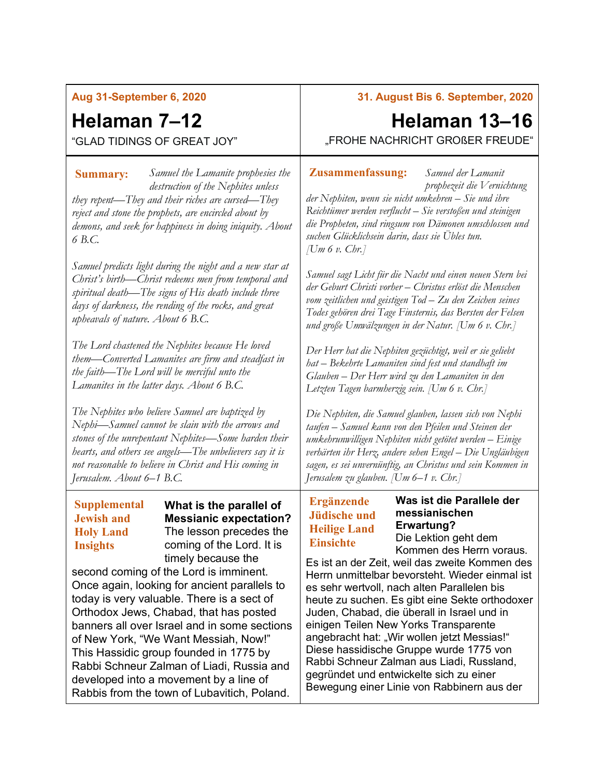## **Aug 31-September 6, 2020**

## **Helaman 7–12**

"GLAD TIDINGS OF GREAT JOY"

*Samuel the Lamanite prophesies the*  **Summary: Zusammenfassung:** *destruction of the Nephites unless they repent—They and their riches are cursed—They reject and stone the prophets, are encircled about by demons, and seek for happiness in doing iniquity. About 6 B.C.*

*Samuel predicts light during the night and a new star at Christ's birth—Christ redeems men from temporal and spiritual death—The signs of His death include three days of darkness, the rending of the rocks, and great upheavals of nature. About 6 B.C.*

*The Lord chastened the Nephites because He loved them—Converted Lamanites are firm and steadfast in the faith—The Lord will be merciful unto the Lamanites in the latter days. About 6 B.C.*

*The Nephites who believe Samuel are baptized by Nephi—Samuel cannot be slain with the arrows and stones of the unrepentant Nephites—Some harden their hearts, and others see angels—The unbelievers say it is not reasonable to believe in Christ and His coming in Jerusalem. About 6–1 B.C.*

### **Supplemental Jewish and Holy Land Insights**

**What is the parallel of Messianic expectation?** The lesson precedes the coming of the Lord. It is timely because the

second coming of the Lord is imminent. Once again, looking for ancient parallels to today is very valuable. There is a sect of Orthodox Jews, Chabad, that has posted banners all over Israel and in some sections of New York, "We Want Messiah, Now!" This Hassidic group founded in 1775 by [Rabbi](https://en.wikipedia.org/wiki/Rabbi) [Schneur Zalman of Liadi,](https://en.wikipedia.org/wiki/Schneur_Zalman_of_Liadi) Russia and developed into a movement by a line of Rabbis from the town of Lubavitich, Poland.

## **31. August Bis 6. September, 2020**

# **Helaman 13–16**

"FROHE NACHRICHT GROßER FREUDE"

#### *Samuel der Lamanit*

*prophezeit die Vernichtung der Nephiten, wenn sie nicht umkehren – Sie und ihre Reichtümer werden verflucht – Sie verstoßen und steinigen die Propheten, sind ringsum von Dämonen umschlossen und suchen Glücklichsein darin, dass sie Übles tun. [Um 6 v. Chr.]*

*Samuel sagt Licht für die Nacht und einen neuen Stern bei der Geburt Christi vorher – Christus erlöst die Menschen vom zeitlichen und geistigen Tod – Zu den Zeichen seines Todes gehören drei Tage Finsternis, das Bersten der Felsen und große Umwälzungen in der Natur. [Um 6 v. Chr.]*

*Der Herr hat die Nephiten gezüchtigt, weil er sie geliebt hat – Bekehrte Lamaniten sind fest und standhaft im Glauben – Der Herr wird zu den Lamaniten in den Letzten Tagen barmherzig sein. [Um 6 v. Chr.]*

*Die Nephiten, die Samuel glauben, lassen sich von Nephi taufen – Samuel kann von den Pfeilen und Steinen der umkehrunwilligen Nephiten nicht getötet werden – Einige verhärten ihr Herz, andere sehen Engel – Die Ungläubigen sagen, es sei unvernünftig, an Christus und sein Kommen in Jerusalem zu glauben. [Um 6–1 v. Chr.]*

## **Ergänzende Jüdische und Heilige Land Einsichte**

**Was ist die Parallele der messianischen Erwartung?** Die Lektion geht dem

Kommen des Herrn voraus. Es ist an der Zeit, weil das zweite Kommen des

Herrn unmittelbar bevorsteht. Wieder einmal ist es sehr wertvoll, nach alten Parallelen bis heute zu suchen. Es gibt eine Sekte orthodoxer Juden, Chabad, die überall in Israel und in einigen Teilen New Yorks Transparente angebracht hat: "Wir wollen jetzt Messias!" Diese hassidische Gruppe wurde 1775 von Rabbi Schneur Zalman aus Liadi, Russland, gegründet und entwickelte sich zu einer Bewegung einer Linie von Rabbinern aus der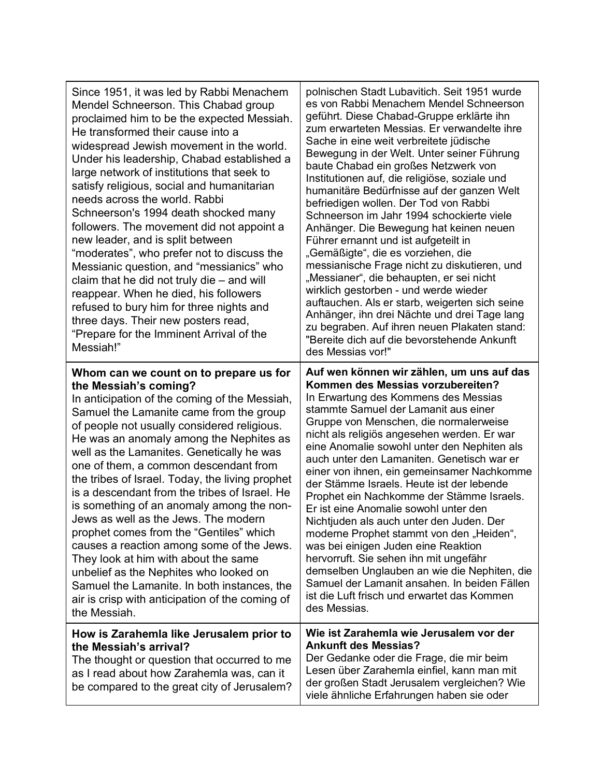| Since 1951, it was led by Rabbi Menachem<br>Mendel Schneerson. This Chabad group<br>proclaimed him to be the expected Messiah.<br>He transformed their cause into a<br>widespread Jewish movement in the world.<br>Under his leadership, Chabad established a<br>large network of institutions that seek to<br>satisfy religious, social and humanitarian<br>needs across the world. Rabbi<br>Schneerson's 1994 death shocked many<br>followers. The movement did not appoint a<br>new leader, and is split between<br>"moderates", who prefer not to discuss the<br>Messianic question, and "messianics" who<br>claim that he did not truly die – and will<br>reappear. When he died, his followers<br>refused to bury him for three nights and<br>three days. Their new posters read,<br>"Prepare for the Imminent Arrival of the<br>Messiah!" | polnischen Stadt Lubavitich. Seit 1951 wurde<br>es von Rabbi Menachem Mendel Schneerson<br>geführt. Diese Chabad-Gruppe erklärte ihn<br>zum erwarteten Messias. Er verwandelte ihre<br>Sache in eine weit verbreitete jüdische<br>Bewegung in der Welt. Unter seiner Führung<br>baute Chabad ein großes Netzwerk von<br>Institutionen auf, die religiöse, soziale und<br>humanitäre Bedürfnisse auf der ganzen Welt<br>befriedigen wollen. Der Tod von Rabbi<br>Schneerson im Jahr 1994 schockierte viele<br>Anhänger. Die Bewegung hat keinen neuen<br>Führer ernannt und ist aufgeteilt in<br>"Gemäßigte", die es vorziehen, die<br>messianische Frage nicht zu diskutieren, und<br>"Messianer", die behaupten, er sei nicht<br>wirklich gestorben - und werde wieder<br>auftauchen. Als er starb, weigerten sich seine<br>Anhänger, ihn drei Nächte und drei Tage lang<br>zu begraben. Auf ihren neuen Plakaten stand:<br>"Bereite dich auf die bevorstehende Ankunft<br>des Messias vor!" |
|--------------------------------------------------------------------------------------------------------------------------------------------------------------------------------------------------------------------------------------------------------------------------------------------------------------------------------------------------------------------------------------------------------------------------------------------------------------------------------------------------------------------------------------------------------------------------------------------------------------------------------------------------------------------------------------------------------------------------------------------------------------------------------------------------------------------------------------------------|-----------------------------------------------------------------------------------------------------------------------------------------------------------------------------------------------------------------------------------------------------------------------------------------------------------------------------------------------------------------------------------------------------------------------------------------------------------------------------------------------------------------------------------------------------------------------------------------------------------------------------------------------------------------------------------------------------------------------------------------------------------------------------------------------------------------------------------------------------------------------------------------------------------------------------------------------------------------------------------------------|
| Whom can we count on to prepare us for<br>the Messiah's coming?<br>In anticipation of the coming of the Messiah,<br>Samuel the Lamanite came from the group<br>of people not usually considered religious.<br>He was an anomaly among the Nephites as<br>well as the Lamanites. Genetically he was<br>one of them, a common descendant from<br>the tribes of Israel. Today, the living prophet<br>is a descendant from the tribes of Israel. He<br>is something of an anomaly among the non-<br>Jews as well as the Jews. The modern<br>prophet comes from the "Gentiles" which<br>causes a reaction among some of the Jews.<br>They look at him with about the same<br>unbelief as the Nephites who looked on<br>Samuel the Lamanite. In both instances, the<br>air is crisp with anticipation of the coming of<br>the Messiah.                 | Auf wen können wir zählen, um uns auf das<br>Kommen des Messias vorzubereiten?<br>In Erwartung des Kommens des Messias<br>stammte Samuel der Lamanit aus einer<br>Gruppe von Menschen, die normalerweise<br>nicht als religiös angesehen werden. Er war<br>eine Anomalie sowohl unter den Nephiten als<br>auch unter den Lamaniten. Genetisch war er<br>einer von ihnen, ein gemeinsamer Nachkomme<br>der Stämme Israels. Heute ist der lebende<br>Prophet ein Nachkomme der Stämme Israels.<br>Er ist eine Anomalie sowohl unter den<br>Nichtjuden als auch unter den Juden. Der<br>moderne Prophet stammt von den "Heiden",<br>was bei einigen Juden eine Reaktion<br>hervorruft. Sie sehen ihn mit ungefähr<br>demselben Unglauben an wie die Nephiten, die<br>Samuel der Lamanit ansahen. In beiden Fällen<br>ist die Luft frisch und erwartet das Kommen<br>des Messias.                                                                                                                 |
| How is Zarahemla like Jerusalem prior to<br>the Messiah's arrival?<br>The thought or question that occurred to me<br>as I read about how Zarahemla was, can it<br>be compared to the great city of Jerusalem?                                                                                                                                                                                                                                                                                                                                                                                                                                                                                                                                                                                                                                    | Wie ist Zarahemla wie Jerusalem vor der<br><b>Ankunft des Messias?</b><br>Der Gedanke oder die Frage, die mir beim<br>Lesen über Zarahemla einfiel, kann man mit<br>der großen Stadt Jerusalem vergleichen? Wie<br>viele ähnliche Erfahrungen haben sie oder                                                                                                                                                                                                                                                                                                                                                                                                                                                                                                                                                                                                                                                                                                                                  |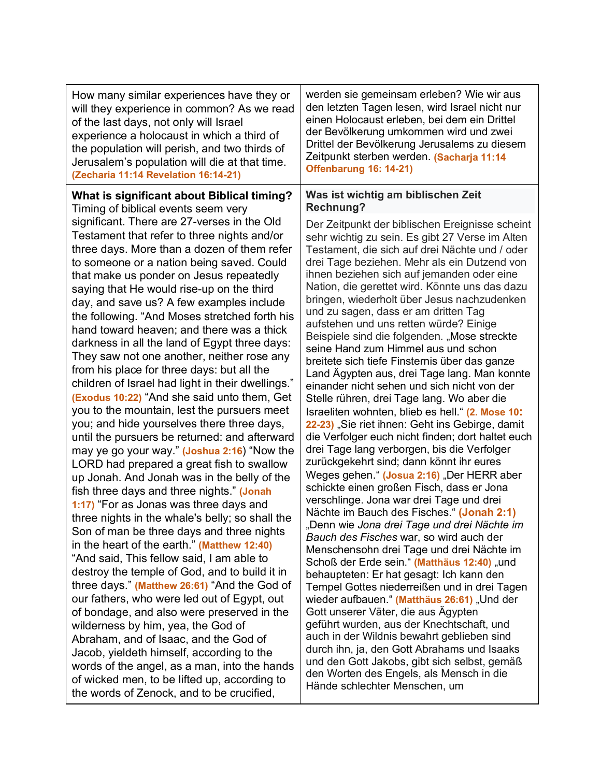How many similar experiences have they or will they experience in common? As we read of the last days, not only will Israel experience a holocaust in which a third of the population will perish, and two thirds of Jerusalem's population will die at that time. **(Zecharia 11:14 Revelation 16:14-21)**

**What is significant about Biblical timing?**

Timing of biblical events seem very significant. There are 27-verses in the Old Testament that refer to three nights and/or three days. More than a dozen of them refer to someone or a nation being saved. Could that make us ponder on Jesus repeatedly saying that He would rise-up on the third day, and save us? A few examples include the following. "And Moses stretched forth his hand toward heaven; and there was a thick darkness in all the land of Egypt three days: They saw not one another, neither rose any from his place for three days: but all the children of Israel had light in their dwellings." **(Exodus 10:22)** "And she said unto them, Get you to the mountain, lest the pursuers meet you; and hide yourselves there three days, until the pursuers be returned: and afterward may ye go your way." **(Joshua 2:16**) "Now the LORD had prepared a great fish to swallow up Jonah. And Jonah was in the belly of the fish three days and three nights." **(Jonah 1:17)** "For as Jonas was three days and three nights in the whale's belly; so shall the Son of man be three days and three nights in the heart of the earth." **(Matthew 12:40)** "And said, This fellow said, I am able to destroy the temple of God, and to build it in three days." **(Matthew 26:61)** "And the God of our fathers, who were led out of Egypt, out of bondage, and also were preserved in the wilderness by him, yea, the God of Abraham, and of Isaac, and the God of Jacob, yieldeth himself, according to the words of the angel, as a man, into the hands of wicked men, to be lifted up, according to the words of Zenock, and to be crucified,

werden sie gemeinsam erleben? Wie wir aus den letzten Tagen lesen, wird Israel nicht nur einen Holocaust erleben, bei dem ein Drittel der Bevölkerung umkommen wird und zwei Drittel der Bevölkerung Jerusalems zu diesem Zeitpunkt sterben werden. **(Sacharja 11:14 Offenbarung 16: 14-21)**

### **Was ist wichtig am biblischen Zeit Rechnung?**

Der Zeitpunkt der biblischen Ereignisse scheint sehr wichtig zu sein. Es gibt 27 Verse im Alten Testament, die sich auf drei Nächte und / oder drei Tage beziehen. Mehr als ein Dutzend von ihnen beziehen sich auf jemanden oder eine Nation, die gerettet wird. Könnte uns das dazu bringen, wiederholt über Jesus nachzudenken und zu sagen, dass er am dritten Tag aufstehen und uns retten würde? Einige Beispiele sind die folgenden. "Mose streckte seine Hand zum Himmel aus und schon breitete sich tiefe Finsternis über das ganze Land Ägypten aus, drei Tage lang. Man konnte einander nicht sehen und sich nicht von der Stelle rühren, drei Tage lang. Wo aber die Israeliten wohnten, blieb es hell." **(2. Mose 10: 22-23)** "Sie riet ihnen: Geht ins Gebirge, damit die Verfolger euch nicht finden; dort haltet euch drei Tage lang verborgen, bis die Verfolger zurückgekehrt sind; dann könnt ihr eures Weges gehen." (Josua 2:16) "Der HERR aber schickte einen großen Fisch, dass er Jona verschlinge. Jona war drei Tage und drei Nächte im Bauch des Fisches." **(Jonah 2:1)** "Denn wie *Jona drei Tage und drei Nächte im Bauch des Fisches* war, so wird auch der Menschensohn drei Tage und drei Nächte im Schoß der Erde sein." (Matthäus 12:40) "und behaupteten: Er hat gesagt: Ich kann den Tempel Gottes niederreißen und in drei Tagen wieder aufbauen." (Matthäus 26:61) "Und der Gott unserer Väter, die aus Ägypten geführt wurden, aus der Knechtschaft, und auch in der Wildnis bewahrt geblieben sind durch ihn, ja, den Gott Abrahams und Isaaks und den Gott Jakobs, gibt sich selbst, gemäß den Worten des Engels, als Mensch in die Hände schlechter Menschen, um